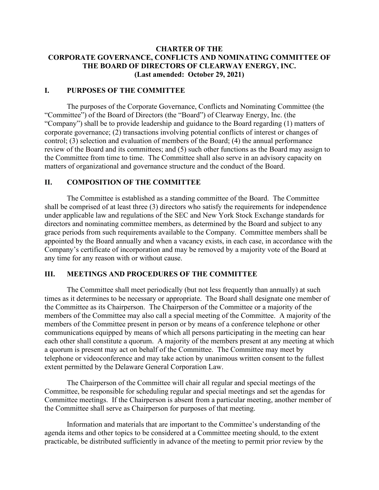## **CHARTER OF THE CORPORATE GOVERNANCE, CONFLICTS AND NOMINATING COMMITTEE OF THE BOARD OF DIRECTORS OF CLEARWAY ENERGY, INC. (Last amended: October 29, 2021)**

### **I. PURPOSES OF THE COMMITTEE**

The purposes of the Corporate Governance, Conflicts and Nominating Committee (the "Committee") of the Board of Directors (the "Board") of Clearway Energy, Inc. (the "Company") shall be to provide leadership and guidance to the Board regarding (1) matters of corporate governance; (2) transactions involving potential conflicts of interest or changes of control; (3) selection and evaluation of members of the Board; (4) the annual performance review of the Board and its committees; and (5) such other functions as the Board may assign to the Committee from time to time. The Committee shall also serve in an advisory capacity on matters of organizational and governance structure and the conduct of the Board.

### **II. COMPOSITION OF THE COMMITTEE**

The Committee is established as a standing committee of the Board. The Committee shall be comprised of at least three (3) directors who satisfy the requirements for independence under applicable law and regulations of the SEC and New York Stock Exchange standards for directors and nominating committee members, as determined by the Board and subject to any grace periods from such requirements available to the Company. Committee members shall be appointed by the Board annually and when a vacancy exists, in each case, in accordance with the Company's certificate of incorporation and may be removed by a majority vote of the Board at any time for any reason with or without cause.

#### **III. MEETINGS AND PROCEDURES OF THE COMMITTEE**

The Committee shall meet periodically (but not less frequently than annually) at such times as it determines to be necessary or appropriate. The Board shall designate one member of the Committee as its Chairperson. The Chairperson of the Committee or a majority of the members of the Committee may also call a special meeting of the Committee. A majority of the members of the Committee present in person or by means of a conference telephone or other communications equipped by means of which all persons participating in the meeting can hear each other shall constitute a quorum. A majority of the members present at any meeting at which a quorum is present may act on behalf of the Committee. The Committee may meet by telephone or videoconference and may take action by unanimous written consent to the fullest extent permitted by the Delaware General Corporation Law.

The Chairperson of the Committee will chair all regular and special meetings of the Committee, be responsible for scheduling regular and special meetings and set the agendas for Committee meetings. If the Chairperson is absent from a particular meeting, another member of the Committee shall serve as Chairperson for purposes of that meeting.

Information and materials that are important to the Committee's understanding of the agenda items and other topics to be considered at a Committee meeting should, to the extent practicable, be distributed sufficiently in advance of the meeting to permit prior review by the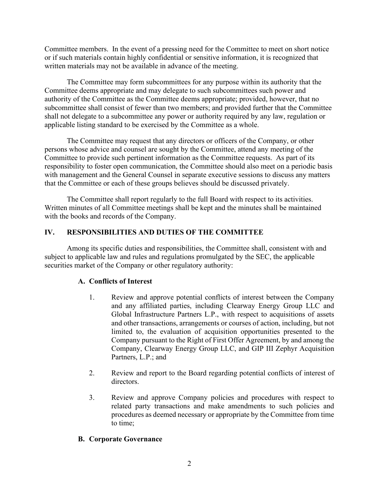Committee members. In the event of a pressing need for the Committee to meet on short notice or if such materials contain highly confidential or sensitive information, it is recognized that written materials may not be available in advance of the meeting.

The Committee may form subcommittees for any purpose within its authority that the Committee deems appropriate and may delegate to such subcommittees such power and authority of the Committee as the Committee deems appropriate; provided, however, that no subcommittee shall consist of fewer than two members; and provided further that the Committee shall not delegate to a subcommittee any power or authority required by any law, regulation or applicable listing standard to be exercised by the Committee as a whole.

The Committee may request that any directors or officers of the Company, or other persons whose advice and counsel are sought by the Committee, attend any meeting of the Committee to provide such pertinent information as the Committee requests. As part of its responsibility to foster open communication, the Committee should also meet on a periodic basis with management and the General Counsel in separate executive sessions to discuss any matters that the Committee or each of these groups believes should be discussed privately.

The Committee shall report regularly to the full Board with respect to its activities. Written minutes of all Committee meetings shall be kept and the minutes shall be maintained with the books and records of the Company.

## **IV. RESPONSIBILITIES AND DUTIES OF THE COMMITTEE**

Among its specific duties and responsibilities, the Committee shall, consistent with and subject to applicable law and rules and regulations promulgated by the SEC, the applicable securities market of the Company or other regulatory authority:

# **A. Conflicts of Interest**

- 1. Review and approve potential conflicts of interest between the Company and any affiliated parties, including Clearway Energy Group LLC and Global Infrastructure Partners L.P., with respect to acquisitions of assets and other transactions, arrangements or courses of action, including, but not limited to, the evaluation of acquisition opportunities presented to the Company pursuant to the Right of First Offer Agreement, by and among the Company, Clearway Energy Group LLC, and GIP III Zephyr Acquisition Partners, L.P.; and
- 2. Review and report to the Board regarding potential conflicts of interest of directors.
- 3. Review and approve Company policies and procedures with respect to related party transactions and make amendments to such policies and procedures as deemed necessary or appropriate by the Committee from time to time;

### **B. Corporate Governance**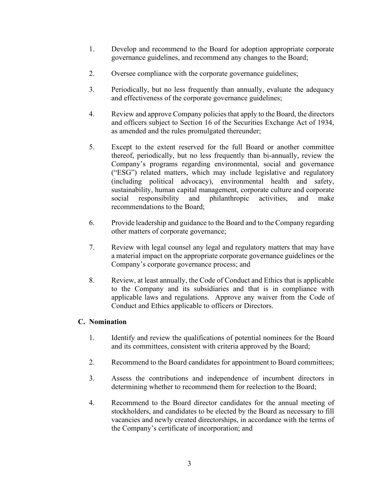- 1. Develop and recommend to the Board for adoption appropriate corporate governance guidelines, and recommend any changes to the Board;
- 2. Oversee compliance with the corporate governance guidelines;
- 3. Periodically, but no less frequently than annually, evaluate the adequacy and effectiveness of the corporate governance guidelines;
- 4. Review and approve Company policies that apply to the Board, the directors and officers subject to Section 16 of the Securities Exchange Act of 1934, as amended and the rules promulgated thereunder;
- 5. Except to the extent reserved for the full Board or another committee thereof, periodically, but no less frequently than bi-annually, review the Company's programs regarding environmental, social and governance ("ESG") related matters, which may include legislative and regulatory (including political advocacy), environmental health and safety, sustainability, human capital management, corporate culture and corporate social responsibility and philanthropic activities, and make recommendations to the Board;
- 6. Provide leadership and guidance to the Board and to the Company regarding other matters of corporate governance;
- 7. Review with legal counsel any legal and regulatory matters that may have a material impact on the appropriate corporate governance guidelines or the Company's corporate governance process; and
- 8. Review, at least annually, the Code of Conduct and Ethics that is applicable to the Company and its subsidiaries and that is in compliance with applicable laws and regulations. Approve any waiver from the Code of Conduct and Ethics applicable to officers or Directors.

# **C. Nomination**

- 1. Identify and review the qualifications of potential nominees for the Board and its committees, consistent with criteria approved by the Board;
- 2. Recommend to the Board candidates for appointment to Board committees;
- 3. Assess the contributions and independence of incumbent directors in determining whether to recommend them for reelection to the Board;
- 4. Recommend to the Board director candidates for the annual meeting of stockholders, and candidates to be elected by the Board as necessary to fill vacancies and newly created directorships, in accordance with the terms of the Company's certificate of incorporation; and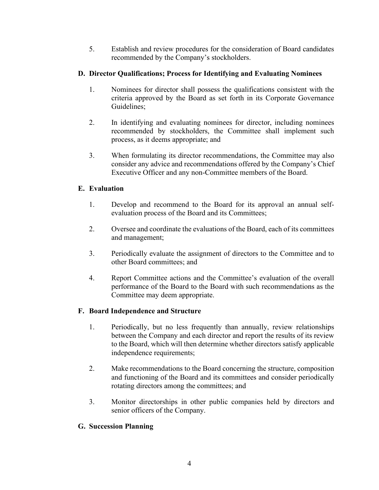5. Establish and review procedures for the consideration of Board candidates recommended by the Company's stockholders.

# **D. Director Qualifications; Process for Identifying and Evaluating Nominees**

- 1. Nominees for director shall possess the qualifications consistent with the criteria approved by the Board as set forth in its Corporate Governance Guidelines;
- 2. In identifying and evaluating nominees for director, including nominees recommended by stockholders, the Committee shall implement such process, as it deems appropriate; and
- 3. When formulating its director recommendations, the Committee may also consider any advice and recommendations offered by the Company's Chief Executive Officer and any non-Committee members of the Board.

# **E. Evaluation**

- 1. Develop and recommend to the Board for its approval an annual selfevaluation process of the Board and its Committees;
- 2. Oversee and coordinate the evaluations of the Board, each of its committees and management;
- 3. Periodically evaluate the assignment of directors to the Committee and to other Board committees; and
- 4. Report Committee actions and the Committee's evaluation of the overall performance of the Board to the Board with such recommendations as the Committee may deem appropriate.

# **F. Board Independence and Structure**

- 1. Periodically, but no less frequently than annually, review relationships between the Company and each director and report the results of its review to the Board, which will then determine whether directors satisfy applicable independence requirements;
- 2. Make recommendations to the Board concerning the structure, composition and functioning of the Board and its committees and consider periodically rotating directors among the committees; and
- 3. Monitor directorships in other public companies held by directors and senior officers of the Company.

# **G. Succession Planning**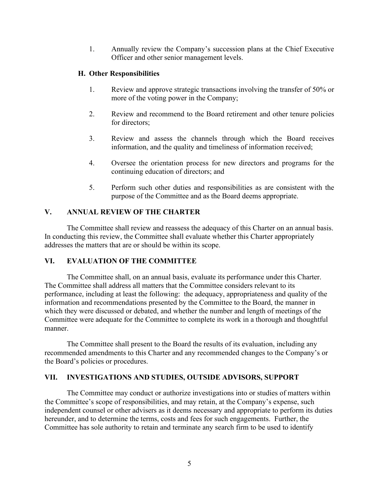1. Annually review the Company's succession plans at the Chief Executive Officer and other senior management levels.

## **H. Other Responsibilities**

- 1. Review and approve strategic transactions involving the transfer of 50% or more of the voting power in the Company;
- 2. Review and recommend to the Board retirement and other tenure policies for directors;
- 3. Review and assess the channels through which the Board receives information, and the quality and timeliness of information received;
- 4. Oversee the orientation process for new directors and programs for the continuing education of directors; and
- 5. Perform such other duties and responsibilities as are consistent with the purpose of the Committee and as the Board deems appropriate.

# **V. ANNUAL REVIEW OF THE CHARTER**

The Committee shall review and reassess the adequacy of this Charter on an annual basis. In conducting this review, the Committee shall evaluate whether this Charter appropriately addresses the matters that are or should be within its scope.

# **VI. EVALUATION OF THE COMMITTEE**

The Committee shall, on an annual basis, evaluate its performance under this Charter. The Committee shall address all matters that the Committee considers relevant to its performance, including at least the following: the adequacy, appropriateness and quality of the information and recommendations presented by the Committee to the Board, the manner in which they were discussed or debated, and whether the number and length of meetings of the Committee were adequate for the Committee to complete its work in a thorough and thoughtful manner.

The Committee shall present to the Board the results of its evaluation, including any recommended amendments to this Charter and any recommended changes to the Company's or the Board's policies or procedures.

### **VII. INVESTIGATIONS AND STUDIES, OUTSIDE ADVISORS, SUPPORT**

The Committee may conduct or authorize investigations into or studies of matters within the Committee's scope of responsibilities, and may retain, at the Company's expense, such independent counsel or other advisers as it deems necessary and appropriate to perform its duties hereunder, and to determine the terms, costs and fees for such engagements. Further, the Committee has sole authority to retain and terminate any search firm to be used to identify